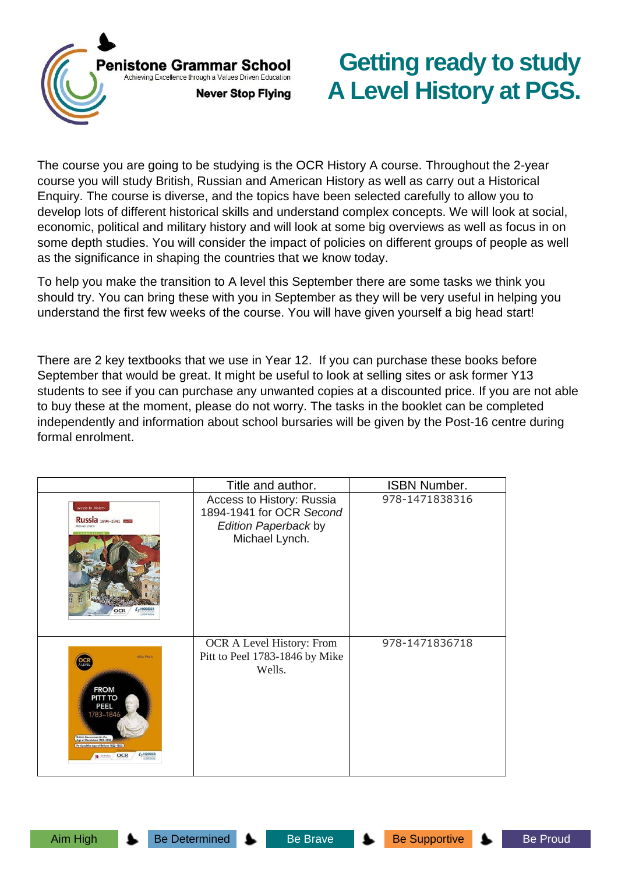

# **Getting ready to study A Level History at PGS.**

The course you are going to be studying is the OCR History A course. Throughout the 2-year course you will study British, Russian and American History as well as carry out a Historical Enquiry. The course is diverse, and the topics have been selected carefully to allow you to develop lots of different historical skills and understand complex concepts. We will look at social, economic, political and military history and will look at some big overviews as well as focus in on some depth studies. You will consider the impact of policies on different groups of people as well as the significance in shaping the countries that we know today.

To help you make the transition to A level this September there are some tasks we think you should try. You can bring these with you in September as they will be very useful in helping you understand the first few weeks of the course. You will have given yourself a big head start!

There are 2 key textbooks that we use in Year 12. If you can purchase these books before September that would be great. It might be useful to look at selling sites or ask former Y13 students to see if you can purchase any unwanted copies at a discounted price. If you are not able to buy these at the moment, please do not worry. The tasks in the booklet can be completed independently and information about school bursaries will be given by the Post-16 centre during formal enrolment.

|                                                                                                                                                                                                                             | Title and author.                                                                                      | <b>ISBN Number.</b> |
|-----------------------------------------------------------------------------------------------------------------------------------------------------------------------------------------------------------------------------|--------------------------------------------------------------------------------------------------------|---------------------|
| access to history<br><b>Russia</b> 1894-1941 <b>Reset</b><br>MICHAEL LYNCH                                                                                                                                                  | Access to History: Russia<br>1894-1941 for OCR Second<br><b>Edition Paperback by</b><br>Michael Lynch. | 978-1471838316      |
| Mike Wells<br><b>OCR</b><br><b>FROM</b><br>PITT TO<br>PEEL<br>1783-1846<br><b>British Government in the<br/>Age of Revolution 1783-1832</b><br>Age of Reform 1832-1853<br>$4$ <sub>7</sub> HODDER<br><b>OCR</b><br>Steams G | OCR A Level History: From<br>Pitt to Peel 1783-1846 by Mike<br>Wells.                                  | 978-1471836718      |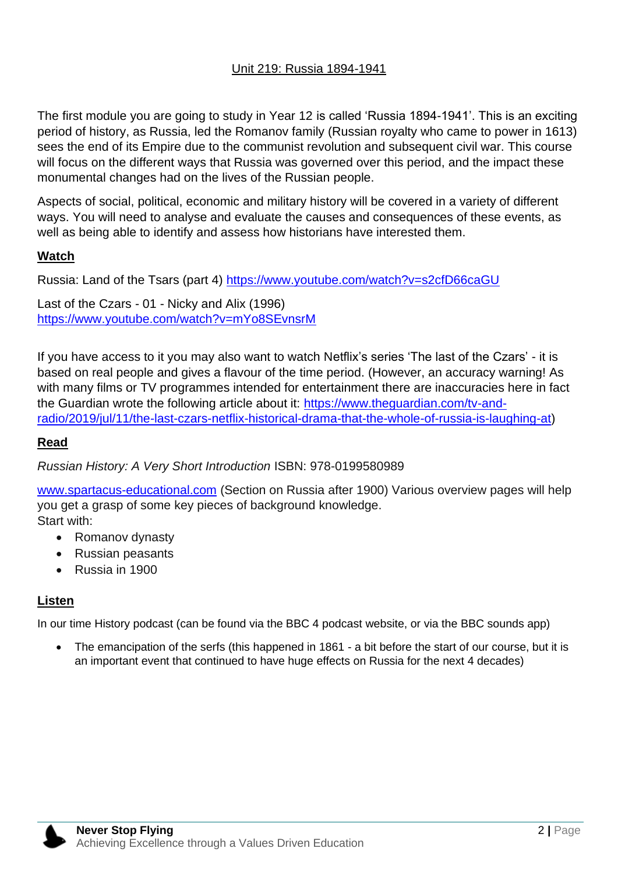#### Unit 219: Russia 1894-1941

The first module you are going to study in Year 12 is called 'Russia 1894-1941'. This is an exciting period of history, as Russia, led the Romanov family (Russian royalty who came to power in 1613) sees the end of its Empire due to the communist revolution and subsequent civil war. This course will focus on the different ways that Russia was governed over this period, and the impact these monumental changes had on the lives of the Russian people.

Aspects of social, political, economic and military history will be covered in a variety of different ways. You will need to analyse and evaluate the causes and consequences of these events, as well as being able to identify and assess how historians have interested them.

#### **Watch**

Russia: Land of the Tsars (part 4)<https://www.youtube.com/watch?v=s2cfD66caGU>

Last of the Czars - 01 - Nicky and Alix (1996) <https://www.youtube.com/watch?v=mYo8SEvnsrM>

If you have access to it you may also want to watch Netflix's series 'The last of the Czars' - it is based on real people and gives a flavour of the time period. (However, an accuracy warning! As with many films or TV programmes intended for entertainment there are inaccuracies here in fact the Guardian wrote the following article about it: [https://www.theguardian.com/tv-and](https://www.theguardian.com/tv-and-radio/2019/jul/11/the-last-czars-netflix-historical-drama-that-the-whole-of-russia-is-laughing-at)[radio/2019/jul/11/the-last-czars-netflix-historical-drama-that-the-whole-of-russia-is-laughing-at\)](https://www.theguardian.com/tv-and-radio/2019/jul/11/the-last-czars-netflix-historical-drama-that-the-whole-of-russia-is-laughing-at)

# **Read**

*Russian History: A Very Short Introduction* ISBN: 978-0199580989

[www.spartacus-educational.com](http://www.spartacus-educational.com/) (Section on Russia after 1900) Various overview pages will help you get a grasp of some key pieces of background knowledge.

Start with:

- Romanov dynasty
- Russian peasants
- Russia in 1900

# **Listen**

In our time History podcast (can be found via the BBC 4 podcast website, or via the BBC sounds app)

• The emancipation of the serfs (this happened in 1861 - a bit before the start of our course, but it is an important event that continued to have huge effects on Russia for the next 4 decades)

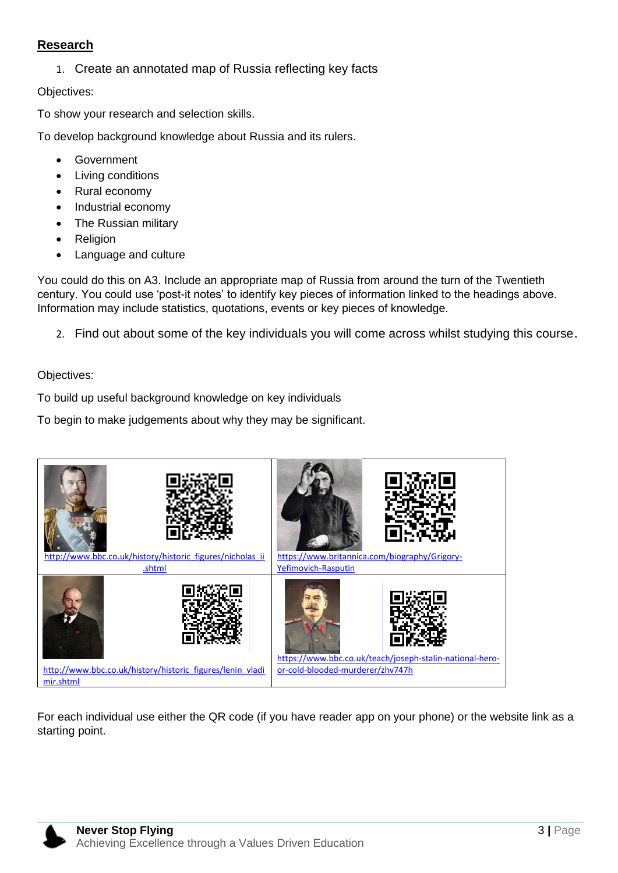#### **Research**

1. Create an annotated map of Russia reflecting key facts

Objectives:

To show your research and selection skills.

To develop background knowledge about Russia and its rulers.

- **Government**
- **Living conditions**
- Rural economy
- Industrial economy
- The Russian military
- Religion
- Language and culture

You could do this on A3. Include an appropriate map of Russia from around the turn of the Twentieth century. You could use 'post-it notes' to identify key pieces of information linked to the headings above. Information may include statistics, quotations, events or key pieces of knowledge.

2. Find out about some of the key individuals you will come across whilst studying this course.

Objectives:

To build up useful background knowledge on key individuals

To begin to make judgements about why they may be significant.



For each individual use either the QR code (if you have reader app on your phone) or the website link as a starting point.

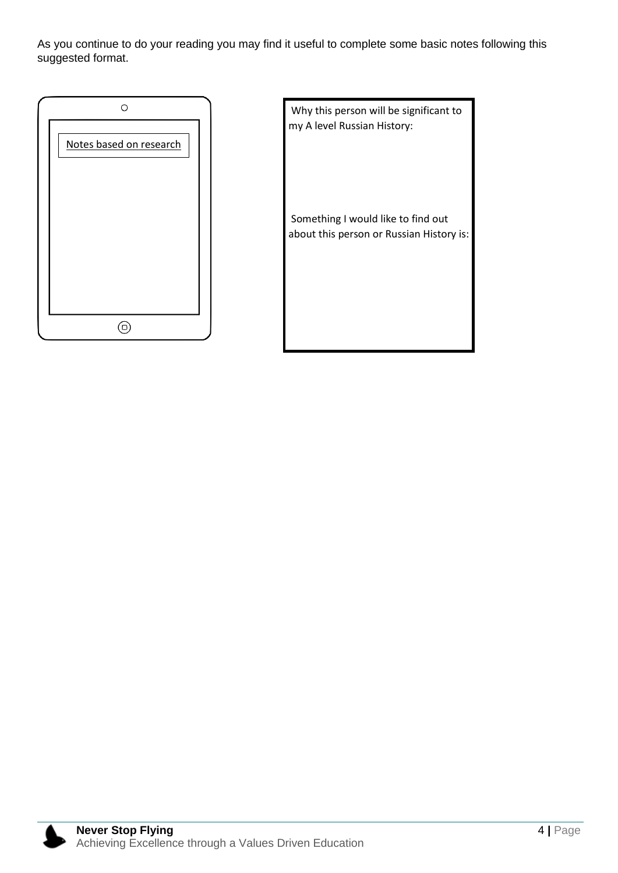As you continue to do your reading you may find it useful to complete some basic notes following this suggested format.



Why this person will be significant to my A level Russian History:

Something I would like to find out about this person or Russian History is:

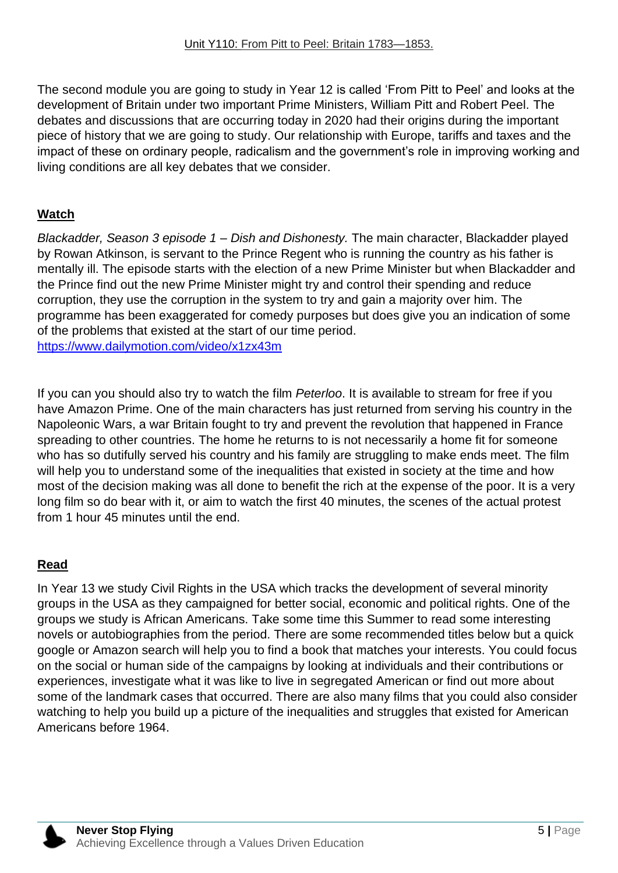The second module you are going to study in Year 12 is called 'From Pitt to Peel' and looks at the development of Britain under two important Prime Ministers, William Pitt and Robert Peel. The debates and discussions that are occurring today in 2020 had their origins during the important piece of history that we are going to study. Our relationship with Europe, tariffs and taxes and the impact of these on ordinary people, radicalism and the government's role in improving working and living conditions are all key debates that we consider.

## **Watch**

*Blackadder, Season 3 episode 1 – Dish and Dishonesty.* The main character, Blackadder played by Rowan Atkinson, is servant to the Prince Regent who is running the country as his father is mentally ill. The episode starts with the election of a new Prime Minister but when Blackadder and the Prince find out the new Prime Minister might try and control their spending and reduce corruption, they use the corruption in the system to try and gain a majority over him. The programme has been exaggerated for comedy purposes but does give you an indication of some of the problems that existed at the start of our time period. <https://www.dailymotion.com/video/x1zx43m>

If you can you should also try to watch the film *Peterloo*. It is available to stream for free if you have Amazon Prime. One of the main characters has just returned from serving his country in the Napoleonic Wars, a war Britain fought to try and prevent the revolution that happened in France spreading to other countries. The home he returns to is not necessarily a home fit for someone who has so dutifully served his country and his family are struggling to make ends meet. The film will help you to understand some of the inequalities that existed in society at the time and how most of the decision making was all done to benefit the rich at the expense of the poor. It is a very long film so do bear with it, or aim to watch the first 40 minutes, the scenes of the actual protest from 1 hour 45 minutes until the end.

# **Read**

In Year 13 we study Civil Rights in the USA which tracks the development of several minority groups in the USA as they campaigned for better social, economic and political rights. One of the groups we study is African Americans. Take some time this Summer to read some interesting novels or autobiographies from the period. There are some recommended titles below but a quick google or Amazon search will help you to find a book that matches your interests. You could focus on the social or human side of the campaigns by looking at individuals and their contributions or experiences, investigate what it was like to live in segregated American or find out more about some of the landmark cases that occurred. There are also many films that you could also consider watching to help you build up a picture of the inequalities and struggles that existed for American Americans before 1964.